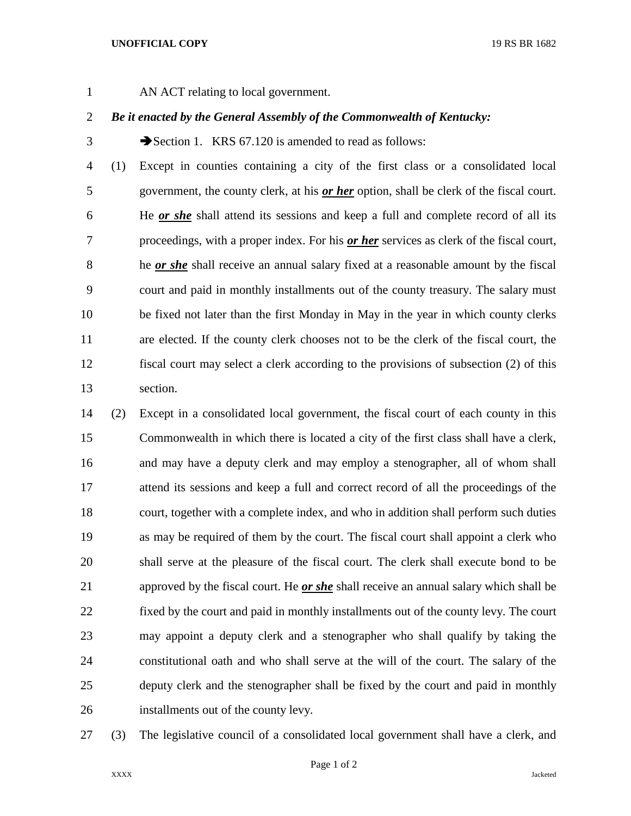## **UNOFFICIAL COPY** 19 RS BR 1682

AN ACT relating to local government.

## *Be it enacted by the General Assembly of the Commonwealth of Kentucky:*

 $3 \rightarrow$  Section 1. KRS 67.120 is amended to read as follows:

 (1) Except in counties containing a city of the first class or a consolidated local government, the county clerk, at his *or her* option, shall be clerk of the fiscal court. He *or she* shall attend its sessions and keep a full and complete record of all its proceedings, with a proper index. For his *or her* services as clerk of the fiscal court, he *or she* shall receive an annual salary fixed at a reasonable amount by the fiscal court and paid in monthly installments out of the county treasury. The salary must be fixed not later than the first Monday in May in the year in which county clerks are elected. If the county clerk chooses not to be the clerk of the fiscal court, the fiscal court may select a clerk according to the provisions of subsection (2) of this section.

 (2) Except in a consolidated local government, the fiscal court of each county in this Commonwealth in which there is located a city of the first class shall have a clerk, and may have a deputy clerk and may employ a stenographer, all of whom shall attend its sessions and keep a full and correct record of all the proceedings of the court, together with a complete index, and who in addition shall perform such duties as may be required of them by the court. The fiscal court shall appoint a clerk who shall serve at the pleasure of the fiscal court. The clerk shall execute bond to be approved by the fiscal court. He *or she* shall receive an annual salary which shall be fixed by the court and paid in monthly installments out of the county levy. The court may appoint a deputy clerk and a stenographer who shall qualify by taking the constitutional oath and who shall serve at the will of the court. The salary of the deputy clerk and the stenographer shall be fixed by the court and paid in monthly installments out of the county levy.

(3) The legislative council of a consolidated local government shall have a clerk, and